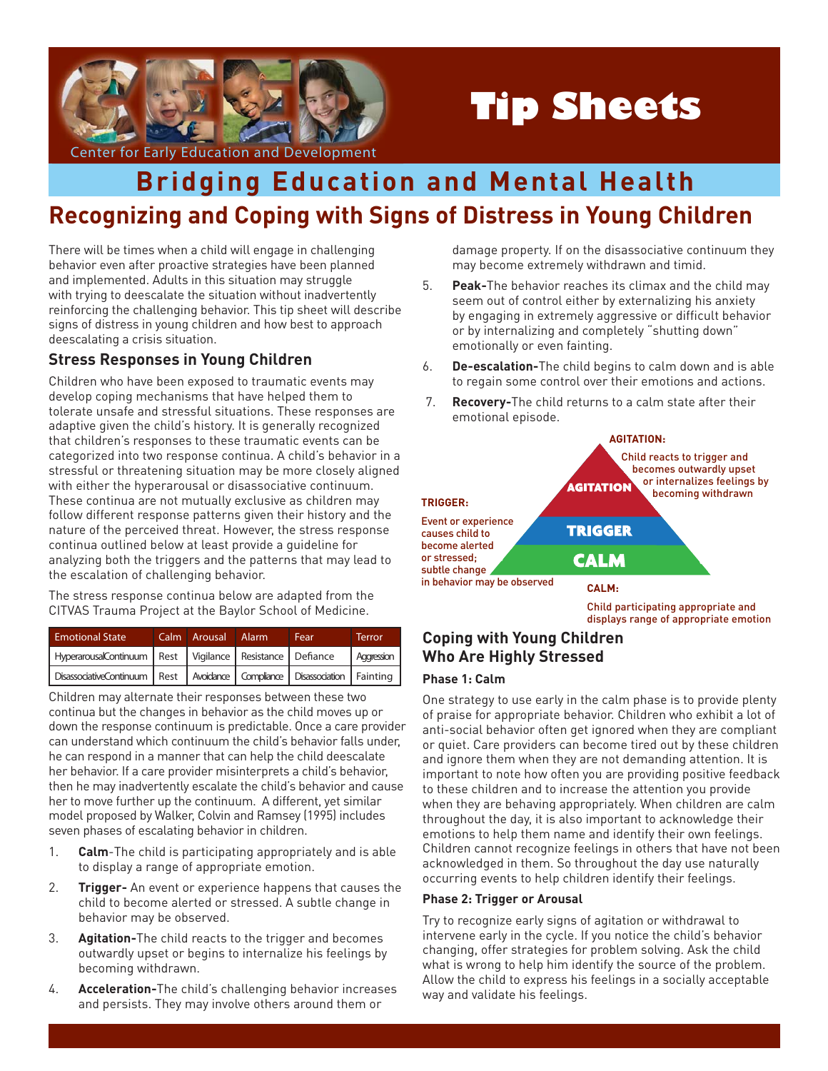

# **Tip Sheets**

# **Recognizing and Coping with Signs of Distress in Young Children Bridging Education and Mental Health**

There will be times when a child will engage in challenging behavior even after proactive strategies have been planned and implemented. Adults in this situation may struggle with trying to deescalate the situation without inadvertently reinforcing the challenging behavior. This tip sheet will describe signs of distress in young children and how best to approach deescalating a crisis situation.

## **Stress Responses in Young Children**

Children who have been exposed to traumatic events may develop coping mechanisms that have helped them to tolerate unsafe and stressful situations. These responses are adaptive given the child's history. It is generally recognized that children's responses to these traumatic events can be categorized into two response continua. A child's behavior in a stressful or threatening situation may be more closely aligned with either the hyperarousal or disassociative continuum. These continua are not mutually exclusive as children may follow different response patterns given their history and the nature of the perceived threat. However, the stress response continua outlined below at least provide a guideline for analyzing both the triggers and the patterns that may lead to the escalation of challenging behavior.

The stress response continua below are adapted from the CITVAS Trauma Project at the Baylor School of Medicine.

| <b>Emotional State</b>                                                              | Calm Arousal Alarm | Fear | Terror     |
|-------------------------------------------------------------------------------------|--------------------|------|------------|
| HyperarousalContinuum   Rest   Vigilance   Resistance   Defiance                    |                    |      | Aggression |
| DisassociativeContinuum   Rest   Avoidance   Compliance   Disassociation   Fainting |                    |      |            |

Children may alternate their responses between these two continua but the changes in behavior as the child moves up or down the response continuum is predictable. Once a care provider can understand which continuum the child's behavior falls under, he can respond in a manner that can help the child deescalate her behavior. If a care provider misinterprets a child's behavior, then he may inadvertently escalate the child's behavior and cause her to move further up the continuum. A different, yet similar model proposed by Walker, Colvin and Ramsey (1995) includes seven phases of escalating behavior in children.

- 1. **Calm**-The child is participating appropriately and is able to display a range of appropriate emotion.
- 2. **Trigger-** An event or experience happens that causes the child to become alerted or stressed. A subtle change in behavior may be observed.
- 3. **Agitation-**The child reacts to the trigger and becomes outwardly upset or begins to internalize his feelings by becoming withdrawn.
- 4. **Acceleration-**The child's challenging behavior increases and persists. They may involve others around them or

damage property. If on the disassociative continuum they may become extremely withdrawn and timid.

- 5. **Peak-**The behavior reaches its climax and the child may seem out of control either by externalizing his anxiety by engaging in extremely aggressive or difficult behavior or by internalizing and completely "shutting down" emotionally or even fainting.
- 6. **De-escalation-**The child begins to calm down and is able to regain some control over their emotions and actions.
- 7. **Recovery-**The child returns to a calm state after their emotional episode.

# **AGITATION:**



Child participating appropriate and displays range of appropriate emotion

## **Coping with Young Children Who Are Highly Stressed**

#### **Phase 1: Calm**

One strategy to use early in the calm phase is to provide plenty of praise for appropriate behavior. Children who exhibit a lot of anti-social behavior often get ignored when they are compliant or quiet. Care providers can become tired out by these children and ignore them when they are not demanding attention. It is important to note how often you are providing positive feedback to these children and to increase the attention you provide when they are behaving appropriately. When children are calm throughout the day, it is also important to acknowledge their emotions to help them name and identify their own feelings. Children cannot recognize feelings in others that have not been acknowledged in them. So throughout the day use naturally occurring events to help children identify their feelings.

#### **Phase 2: Trigger or Arousal**

Try to recognize early signs of agitation or withdrawal to intervene early in the cycle. If you notice the child's behavior changing, offer strategies for problem solving. Ask the child what is wrong to help him identify the source of the problem. Allow the child to express his feelings in a socially acceptable way and validate his feelings.